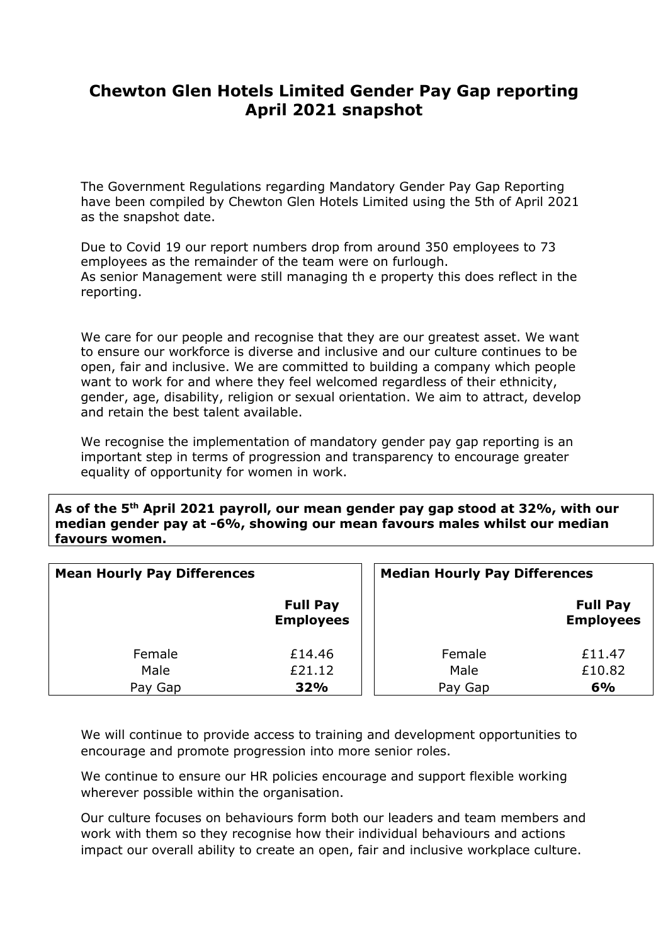## **Chewton Glen Hotels Limited Gender Pay Gap reporting April 2021 snapshot**

The Government Regulations regarding Mandatory Gender Pay Gap Reporting have been compiled by Chewton Glen Hotels Limited using the 5th of April 2021 as the snapshot date.

Due to Covid 19 our report numbers drop from around 350 employees to 73 employees as the remainder of the team were on furlough. As senior Management were still managing th e property this does reflect in the reporting.

We care for our people and recognise that they are our greatest asset. We want to ensure our workforce is diverse and inclusive and our culture continues to be open, fair and inclusive. We are committed to building a company which people want to work for and where they feel welcomed regardless of their ethnicity, gender, age, disability, religion or sexual orientation. We aim to attract, develop and retain the best talent available.

We recognise the implementation of mandatory gender pay gap reporting is an important step in terms of progression and transparency to encourage greater equality of opportunity for women in work.

**As of the 5th April 2021 payroll, our mean gender pay gap stood at 32%, with our median gender pay at -6%, showing our mean favours males whilst our median favours women.**

| <b>Mean Hourly Pay Differences</b> |                                     | <b>Median Hourly Pay Differences</b> |                                     |
|------------------------------------|-------------------------------------|--------------------------------------|-------------------------------------|
|                                    | <b>Full Pay</b><br><b>Employees</b> |                                      | <b>Full Pay</b><br><b>Employees</b> |
| Female                             | £14.46                              | Female                               | £11.47                              |
| Male                               | £21.12                              | Male                                 | £10.82                              |
| Pay Gap                            | 32%                                 | Pay Gap                              | 6%                                  |

We will continue to provide access to training and development opportunities to encourage and promote progression into more senior roles.

We continue to ensure our HR policies encourage and support flexible working wherever possible within the organisation.

Our culture focuses on behaviours form both our leaders and team members and work with them so they recognise how their individual behaviours and actions impact our overall ability to create an open, fair and inclusive workplace culture.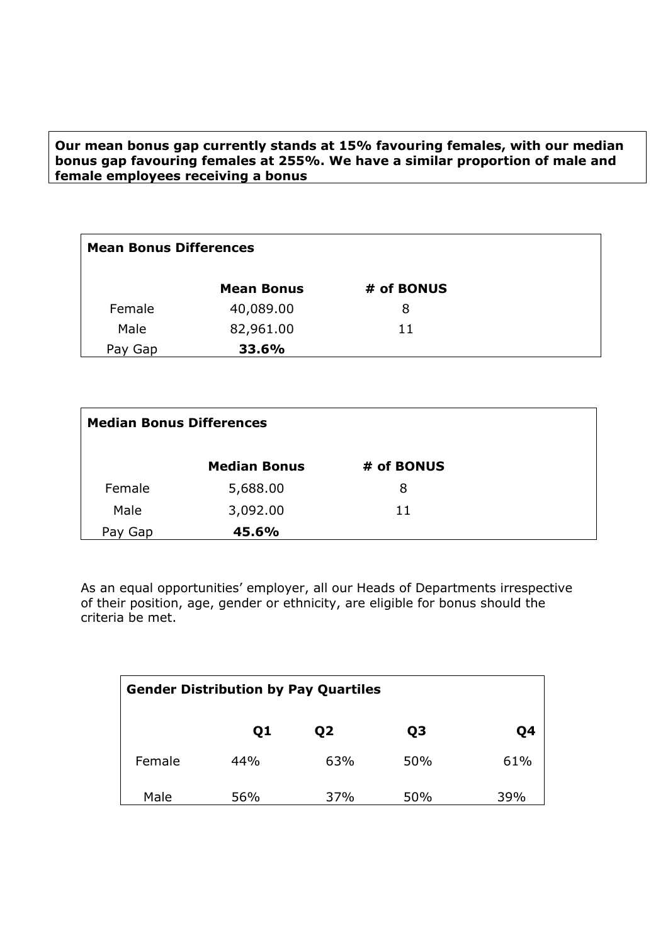**Our mean bonus gap currently stands at 15% favouring females, with our median bonus gap favouring females at 255%. We have a similar proportion of male and female employees receiving a bonus**

| <b>Mean Bonus Differences</b> |                   |            |  |  |
|-------------------------------|-------------------|------------|--|--|
|                               | <b>Mean Bonus</b> | # of BONUS |  |  |
| Female                        | 40,089.00         | 8          |  |  |
| Male                          | 82,961.00         | 11         |  |  |
| Gap<br>Pay                    | 33.6%             |            |  |  |

| <b>Median Bonus Differences</b> |                     |            |  |  |
|---------------------------------|---------------------|------------|--|--|
|                                 | <b>Median Bonus</b> | # of BONUS |  |  |
| Female                          | 5,688.00            | 8          |  |  |
| Male                            | 3,092.00            | 11         |  |  |
| Pay<br>Gap                      | 45.6%               |            |  |  |

As an equal opportunities' employer, all our Heads of Departments irrespective of their position, age, gender or ethnicity, are eligible for bonus should the criteria be met.

| <b>Gender Distribution by Pay Quartiles</b> |     |     |                |     |  |  |
|---------------------------------------------|-----|-----|----------------|-----|--|--|
|                                             | Q1  | 02  | Q <sub>3</sub> | Q4  |  |  |
| Female                                      | 44% | 63% | 50%            | 61% |  |  |
| Male                                        | 56% | 37% | 50%            | 39% |  |  |